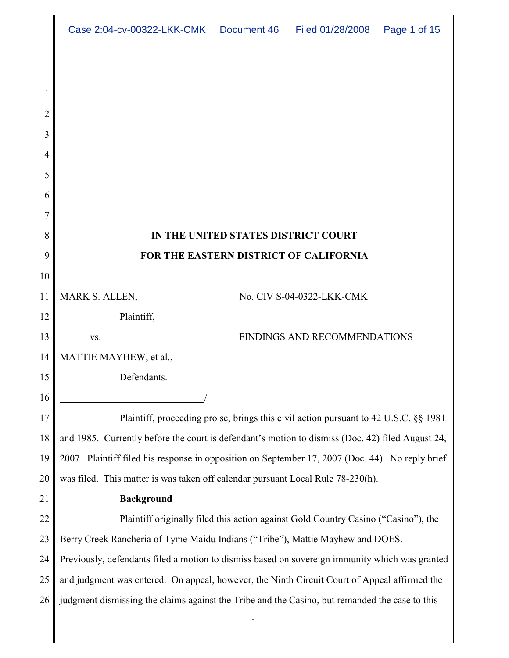|                | Case 2:04-cv-00322-LKK-CMK  Document 46   Filed 01/28/2008   Page 1 of 15                        |                                     |                              |  |  |
|----------------|--------------------------------------------------------------------------------------------------|-------------------------------------|------------------------------|--|--|
|                |                                                                                                  |                                     |                              |  |  |
|                |                                                                                                  |                                     |                              |  |  |
| $\overline{2}$ |                                                                                                  |                                     |                              |  |  |
| 3              |                                                                                                  |                                     |                              |  |  |
| 4              |                                                                                                  |                                     |                              |  |  |
| 5              |                                                                                                  |                                     |                              |  |  |
| 6              |                                                                                                  |                                     |                              |  |  |
| 7              |                                                                                                  |                                     |                              |  |  |
| 8              |                                                                                                  | IN THE UNITED STATES DISTRICT COURT |                              |  |  |
| 9              | FOR THE EASTERN DISTRICT OF CALIFORNIA                                                           |                                     |                              |  |  |
| 10             |                                                                                                  |                                     |                              |  |  |
| 11             | MARK S. ALLEN,                                                                                   |                                     | No. CIV S-04-0322-LKK-CMK    |  |  |
| 12             | Plaintiff,                                                                                       |                                     |                              |  |  |
| 13             | VS.                                                                                              |                                     | FINDINGS AND RECOMMENDATIONS |  |  |
| 14             | MATTIE MAYHEW, et al.,                                                                           |                                     |                              |  |  |
| 15             | Defendants.                                                                                      |                                     |                              |  |  |
| 16             |                                                                                                  |                                     |                              |  |  |
| 17             | Plaintiff, proceeding pro se, brings this civil action pursuant to 42 U.S.C. §§ 1981             |                                     |                              |  |  |
| 18             | and 1985. Currently before the court is defendant's motion to dismiss (Doc. 42) filed August 24, |                                     |                              |  |  |
| 19             | 2007. Plaintiff filed his response in opposition on September 17, 2007 (Doc. 44). No reply brief |                                     |                              |  |  |
| 20             | was filed. This matter is was taken off calendar pursuant Local Rule 78-230(h).                  |                                     |                              |  |  |
| 21             | <b>Background</b>                                                                                |                                     |                              |  |  |
| 22             | Plaintiff originally filed this action against Gold Country Casino ("Casino"), the               |                                     |                              |  |  |
| 23             | Berry Creek Rancheria of Tyme Maidu Indians ("Tribe"), Mattie Mayhew and DOES.                   |                                     |                              |  |  |
| 24             | Previously, defendants filed a motion to dismiss based on sovereign immunity which was granted   |                                     |                              |  |  |
| 25             | and judgment was entered. On appeal, however, the Ninth Circuit Court of Appeal affirmed the     |                                     |                              |  |  |
| 26             | judgment dismissing the claims against the Tribe and the Casino, but remanded the case to this   |                                     |                              |  |  |
|                |                                                                                                  | $\mathbf 1$                         |                              |  |  |
|                |                                                                                                  |                                     |                              |  |  |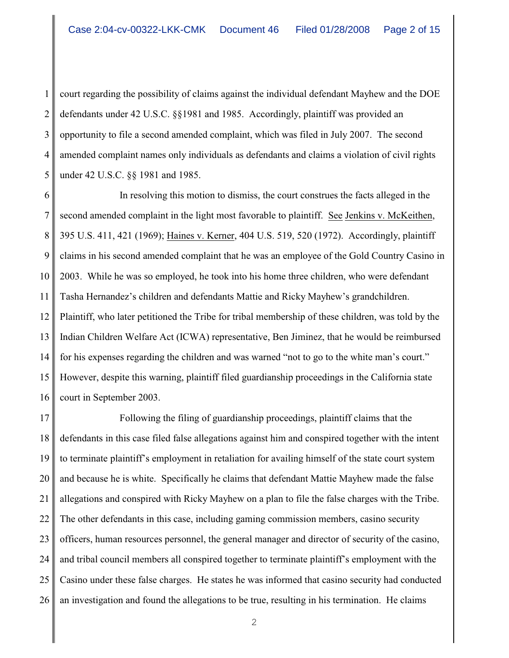1 3 4 5 court regarding the possibility of claims against the individual defendant Mayhew and the DOE defendants under 42 U.S.C. §§1981 and 1985. Accordingly, plaintiff was provided an opportunity to file a second amended complaint, which was filed in July 2007. The second amended complaint names only individuals as defendants and claims a violation of civil rights under 42 U.S.C. §§ 1981 and 1985.

6 7 8 9 10 11 12 13 14 15 16 In resolving this motion to dismiss, the court construes the facts alleged in the second amended complaint in the light most favorable to plaintiff. See Jenkins v. McKeithen, 395 U.S. 411, 421 (1969); Haines v. Kerner, 404 U.S. 519, 520 (1972). Accordingly, plaintiff claims in his second amended complaint that he was an employee of the Gold Country Casino in 2003. While he was so employed, he took into his home three children, who were defendant Tasha Hernandez's children and defendants Mattie and Ricky Mayhew's grandchildren. Plaintiff, who later petitioned the Tribe for tribal membership of these children, was told by the Indian Children Welfare Act (ICWA) representative, Ben Jiminez, that he would be reimbursed for his expenses regarding the children and was warned "not to go to the white man's court." However, despite this warning, plaintiff filed guardianship proceedings in the California state court in September 2003.

17 18 19 20 21 22 23 24 25 26 Following the filing of guardianship proceedings, plaintiff claims that the defendants in this case filed false allegations against him and conspired together with the intent to terminate plaintiff's employment in retaliation for availing himself of the state court system and because he is white. Specifically he claims that defendant Mattie Mayhew made the false allegations and conspired with Ricky Mayhew on a plan to file the false charges with the Tribe. The other defendants in this case, including gaming commission members, casino security officers, human resources personnel, the general manager and director of security of the casino, and tribal council members all conspired together to terminate plaintiff's employment with the Casino under these false charges. He states he was informed that casino security had conducted an investigation and found the allegations to be true, resulting in his termination. He claims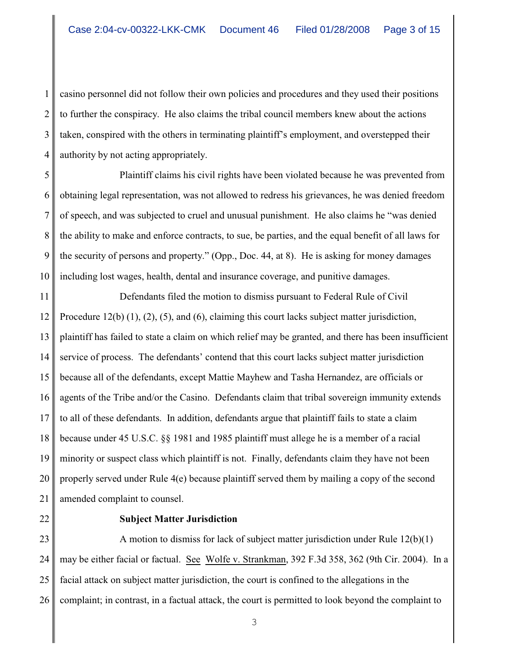1 2 3 4 casino personnel did not follow their own policies and procedures and they used their positions to further the conspiracy. He also claims the tribal council members knew about the actions taken, conspired with the others in terminating plaintiff's employment, and overstepped their authority by not acting appropriately.

5 6 7 8 9 10 Plaintiff claims his civil rights have been violated because he was prevented from obtaining legal representation, was not allowed to redress his grievances, he was denied freedom of speech, and was subjected to cruel and unusual punishment. He also claims he "was denied the ability to make and enforce contracts, to sue, be parties, and the equal benefit of all laws for the security of persons and property." (Opp., Doc. 44, at 8). He is asking for money damages including lost wages, health, dental and insurance coverage, and punitive damages.

11 12 13 14 15 16 17 18 19 20 21 Defendants filed the motion to dismiss pursuant to Federal Rule of Civil Procedure 12(b) (1), (2), (5), and (6), claiming this court lacks subject matter jurisdiction, plaintiff has failed to state a claim on which relief may be granted, and there has been insufficient service of process. The defendants' contend that this court lacks subject matter jurisdiction because all of the defendants, except Mattie Mayhew and Tasha Hernandez, are officials or agents of the Tribe and/or the Casino. Defendants claim that tribal sovereign immunity extends to all of these defendants. In addition, defendants argue that plaintiff fails to state a claim because under 45 U.S.C. §§ 1981 and 1985 plaintiff must allege he is a member of a racial minority or suspect class which plaintiff is not. Finally, defendants claim they have not been properly served under Rule 4(e) because plaintiff served them by mailing a copy of the second amended complaint to counsel.

22 23

#### **Subject Matter Jurisdiction**

24 25 26 A motion to dismiss for lack of subject matter jurisdiction under Rule 12(b)(1) may be either facial or factual. See Wolfe v. Strankman, 392 F.3d 358, 362 (9th Cir. 2004). In a facial attack on subject matter jurisdiction, the court is confined to the allegations in the complaint; in contrast, in a factual attack, the court is permitted to look beyond the complaint to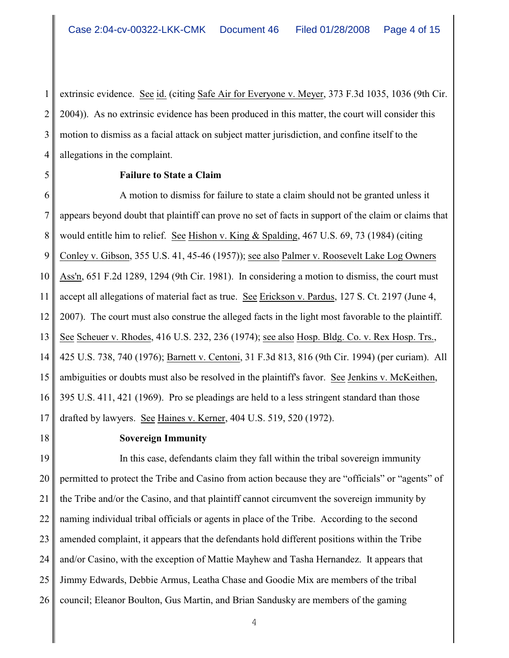1 2 3 4 extrinsic evidence. See id. (citing Safe Air for Everyone v. Meyer, 373 F.3d 1035, 1036 (9th Cir. 2004)). As no extrinsic evidence has been produced in this matter, the court will consider this motion to dismiss as a facial attack on subject matter jurisdiction, and confine itself to the allegations in the complaint.

5 6 7

### **Failure to State a Claim**

8 9 10 11 12 13 14 15 16 17 A motion to dismiss for failure to state a claim should not be granted unless it appears beyond doubt that plaintiff can prove no set of facts in support of the claim or claims that would entitle him to relief. See Hishon v. King & Spalding, 467 U.S. 69, 73 (1984) (citing Conley v. Gibson, 355 U.S. 41, 45-46 (1957)); see also Palmer v. Roosevelt Lake Log Owners Ass'n, 651 F.2d 1289, 1294 (9th Cir. 1981). In considering a motion to dismiss, the court must accept all allegations of material fact as true. See Erickson v. Pardus, 127 S. Ct. 2197 (June 4, 2007). The court must also construe the alleged facts in the light most favorable to the plaintiff. See Scheuer v. Rhodes, 416 U.S. 232, 236 (1974); see also Hosp. Bldg. Co. v. Rex Hosp. Trs., 425 U.S. 738, 740 (1976); Barnett v. Centoni, 31 F.3d 813, 816 (9th Cir. 1994) (per curiam). All ambiguities or doubts must also be resolved in the plaintiff's favor. See Jenkins v. McKeithen, 395 U.S. 411, 421 (1969). Pro se pleadings are held to a less stringent standard than those drafted by lawyers. See Haines v. Kerner, 404 U.S. 519, 520 (1972).

18 19

# **Sovereign Immunity**

20 21 22 23 24 25 26 In this case, defendants claim they fall within the tribal sovereign immunity permitted to protect the Tribe and Casino from action because they are "officials" or "agents" of the Tribe and/or the Casino, and that plaintiff cannot circumvent the sovereign immunity by naming individual tribal officials or agents in place of the Tribe. According to the second amended complaint, it appears that the defendants hold different positions within the Tribe and/or Casino, with the exception of Mattie Mayhew and Tasha Hernandez. It appears that Jimmy Edwards, Debbie Armus, Leatha Chase and Goodie Mix are members of the tribal council; Eleanor Boulton, Gus Martin, and Brian Sandusky are members of the gaming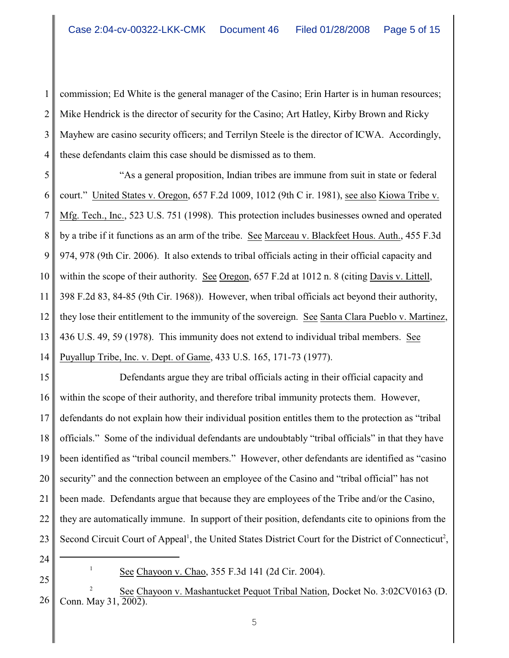1 2 3 4 commission; Ed White is the general manager of the Casino; Erin Harter is in human resources; Mike Hendrick is the director of security for the Casino; Art Hatley, Kirby Brown and Ricky Mayhew are casino security officers; and Terrilyn Steele is the director of ICWA. Accordingly, these defendants claim this case should be dismissed as to them.

5 6 7 8 9 10 11 12 13 14 "As a general proposition, Indian tribes are immune from suit in state or federal court." United States v. Oregon, 657 F.2d 1009, 1012 (9th C ir. 1981), see also Kiowa Tribe v. Mfg. Tech., Inc., 523 U.S. 751 (1998). This protection includes businesses owned and operated by a tribe if it functions as an arm of the tribe. See Marceau v. Blackfeet Hous. Auth., 455 F.3d 974, 978 (9th Cir. 2006). It also extends to tribal officials acting in their official capacity and within the scope of their authority. See Oregon, 657 F.2d at 1012 n. 8 (citing Davis v. Littell, 398 F.2d 83, 84-85 (9th Cir. 1968)). However, when tribal officials act beyond their authority, they lose their entitlement to the immunity of the sovereign. See Santa Clara Pueblo v. Martinez, 436 U.S. 49, 59 (1978). This immunity does not extend to individual tribal members. See Puyallup Tribe, Inc. v. Dept. of Game, 433 U.S. 165, 171-73 (1977).

15 16 17 18 19 20 21 22 23 Defendants argue they are tribal officials acting in their official capacity and within the scope of their authority, and therefore tribal immunity protects them. However, defendants do not explain how their individual position entitles them to the protection as "tribal officials." Some of the individual defendants are undoubtably "tribal officials" in that they have been identified as "tribal council members." However, other defendants are identified as "casino security" and the connection between an employee of the Casino and "tribal official" has not been made. Defendants argue that because they are employees of the Tribe and/or the Casino, they are automatically immune. In support of their position, defendants cite to opinions from the Second Circuit Court of Appeal<sup>1</sup>, the United States District Court for the District of Connecticut<sup>2</sup>,

- 24
- 25

26 See Chayoon v. Mashantucket Pequot Tribal Nation, Docket No. 3:02CV0163 (D. <sup>2</sup> Conn. May 31, 2002).

 $See Chayoon v. Chao, 355 F.3d 141 (2d Cir. 2004).$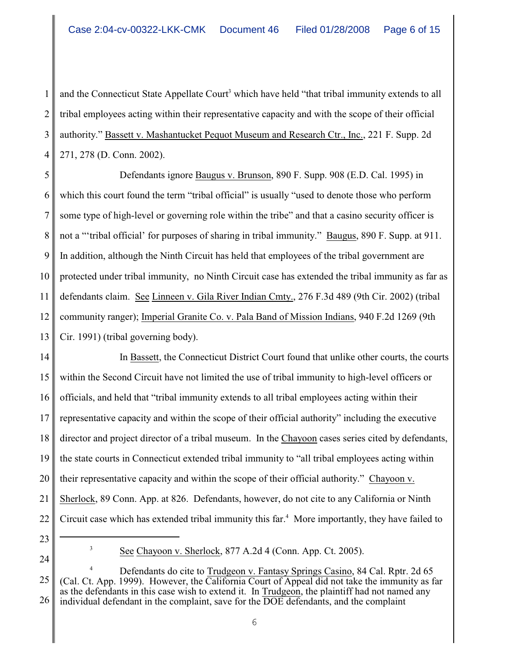1 2 3 4 and the Connecticut State Appellate Court<sup>3</sup> which have held "that tribal immunity extends to all tribal employees acting within their representative capacity and with the scope of their official authority." Bassett v. Mashantucket Pequot Museum and Research Ctr., Inc., 221 F. Supp. 2d 271, 278 (D. Conn. 2002).

5 6 7 8 9 10 11 12 13 Defendants ignore Baugus v. Brunson, 890 F. Supp. 908 (E.D. Cal. 1995) in which this court found the term "tribal official" is usually "used to denote those who perform some type of high-level or governing role within the tribe" and that a casino security officer is not a "'tribal official' for purposes of sharing in tribal immunity." Baugus, 890 F. Supp. at 911. In addition, although the Ninth Circuit has held that employees of the tribal government are protected under tribal immunity, no Ninth Circuit case has extended the tribal immunity as far as defendants claim. See Linneen v. Gila River Indian Cmty., 276 F.3d 489 (9th Cir. 2002) (tribal community ranger); Imperial Granite Co. v. Pala Band of Mission Indians, 940 F.2d 1269 (9th Cir. 1991) (tribal governing body).

14 15 16 17 18 19 20 21 22 In Bassett, the Connecticut District Court found that unlike other courts, the courts within the Second Circuit have not limited the use of tribal immunity to high-level officers or officials, and held that "tribal immunity extends to all tribal employees acting within their representative capacity and within the scope of their official authority" including the executive director and project director of a tribal museum. In the Chayoon cases series cited by defendants, the state courts in Connecticut extended tribal immunity to "all tribal employees acting within their representative capacity and within the scope of their official authority." Chayoon v. Sherlock, 89 Conn. App. at 826. Defendants, however, do not cite to any California or Ninth Circuit case which has extended tribal immunity this far.<sup>4</sup> More importantly, they have failed to

23

 $S^3$  See Chayoon v. Sherlock, 877 A.2d 4 (Conn. App. Ct. 2005).

<sup>25</sup> 26 Defendants do cite to Trudgeon v. Fantasy Springs Casino, 84 Cal. Rptr. 2d 65 <sup>4</sup> (Cal. Ct. App. 1999). However, the California Court of Appeal did not take the immunity as far as the defendants in this case wish to extend it. In Trudgeon, the plaintiff had not named any individual defendant in the complaint, save for the DOE defendants, and the complaint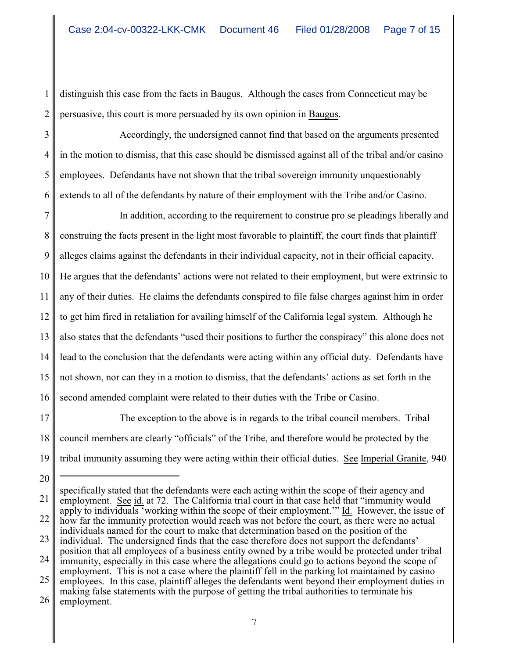1 2 distinguish this case from the facts in Baugus. Although the cases from Connecticut may be persuasive, this court is more persuaded by its own opinion in Baugus.

3 4 5 6 Accordingly, the undersigned cannot find that based on the arguments presented in the motion to dismiss, that this case should be dismissed against all of the tribal and/or casino employees. Defendants have not shown that the tribal sovereign immunity unquestionably extends to all of the defendants by nature of their employment with the Tribe and/or Casino.

7 8 9 10 11 12 13 14 15 16 In addition, according to the requirement to construe pro se pleadings liberally and construing the facts present in the light most favorable to plaintiff, the court finds that plaintiff alleges claims against the defendants in their individual capacity, not in their official capacity. He argues that the defendants' actions were not related to their employment, but were extrinsic to any of their duties. He claims the defendants conspired to file false charges against him in order to get him fired in retaliation for availing himself of the California legal system. Although he also states that the defendants "used their positions to further the conspiracy" this alone does not lead to the conclusion that the defendants were acting within any official duty. Defendants have not shown, nor can they in a motion to dismiss, that the defendants' actions as set forth in the second amended complaint were related to their duties with the Tribe or Casino.

17 18 19 The exception to the above is in regards to the tribal council members. Tribal council members are clearly "officials" of the Tribe, and therefore would be protected by the tribal immunity assuming they were acting within their official duties. See Imperial Granite, 940

21 22 23 24 25 specifically stated that the defendants were each acting within the scope of their agency and employment. See id. at 72. The California trial court in that case held that "immunity would apply to individuals 'working within the scope of their employment.'" Id. However, the issue of how far the immunity protection would reach was not before the court, as there were no actual individuals named for the court to make that determination based on the position of the individual. The undersigned finds that the case therefore does not support the defendants' position that all employees of a business entity owned by a tribe would be protected under tribal immunity, especially in this case where the allegations could go to actions beyond the scope of employment. This is not a case where the plaintiff fell in the parking lot maintained by casino employees. In this case, plaintiff alleges the defendants went beyond their employment duties in

<sup>20</sup>

<sup>26</sup> making false statements with the purpose of getting the tribal authorities to terminate his employment.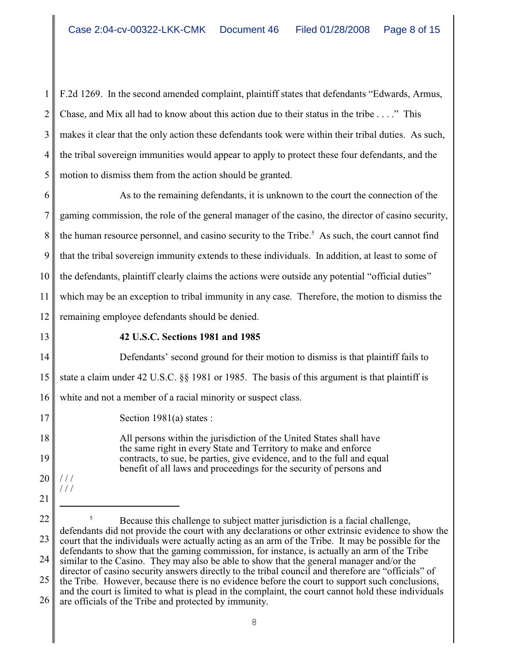1 2 3 4 5 F.2d 1269. In the second amended complaint, plaintiff states that defendants "Edwards, Armus, Chase, and Mix all had to know about this action due to their status in the tribe . . . ." This makes it clear that the only action these defendants took were within their tribal duties. As such, the tribal sovereign immunities would appear to apply to protect these four defendants, and the motion to dismiss them from the action should be granted.

6 7 8 9 10 11 12 As to the remaining defendants, it is unknown to the court the connection of the gaming commission, the role of the general manager of the casino, the director of casino security, the human resource personnel, and casino security to the Tribe.<sup>5</sup> As such, the court cannot find that the tribal sovereign immunity extends to these individuals. In addition, at least to some of the defendants, plaintiff clearly claims the actions were outside any potential "official duties" which may be an exception to tribal immunity in any case. Therefore, the motion to dismiss the remaining employee defendants should be denied.

13

17

18

19

20

/ / / / / /

## **42 U.S.C. Sections 1981 and 1985**

14 15 16 Defendants' second ground for their motion to dismiss is that plaintiff fails to state a claim under 42 U.S.C. §§ 1981 or 1985. The basis of this argument is that plaintiff is white and not a member of a racial minority or suspect class.

Section 1981(a) states :

All persons within the jurisdiction of the United States shall have the same right in every State and Territory to make and enforce contracts, to sue, be parties, give evidence, and to the full and equal benefit of all laws and proceedings for the security of persons and

- 21
- 

22 23 24 Because this challenge to subject matter jurisdiction is a facial challenge, <sup>5</sup> defendants did not provide the court with any declarations or other extrinsic evidence to show the court that the individuals were actually acting as an arm of the Tribe. It may be possible for the defendants to show that the gaming commission, for instance, is actually an arm of the Tribe similar to the Casino. They may also be able to show that the general manager and/or the director of casino security answers directly to the tribal council and therefore are "officials" of

<sup>25</sup> 26 the Tribe. However, because there is no evidence before the court to support such conclusions, and the court is limited to what is plead in the complaint, the court cannot hold these individuals are officials of the Tribe and protected by immunity.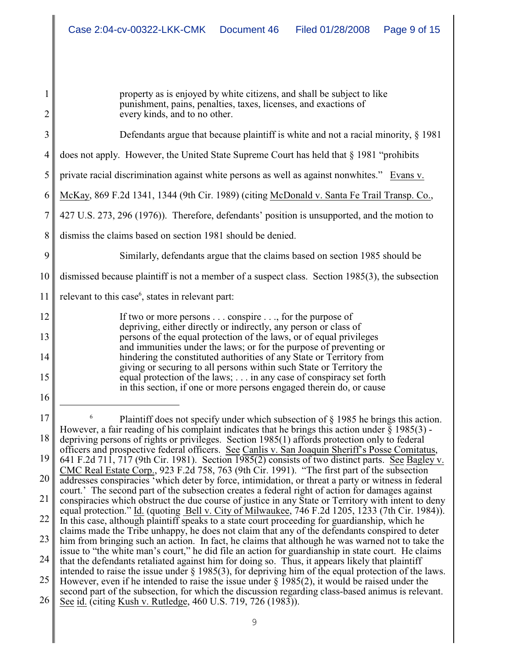1 2 3 4 5 6 7 8 9 10 11 12 13 14 15 16 17 18 19 20 21 22 23 24 25 26 <sup>6</sup> Plaintiff does not specify under which subsection of  $\S$  1985 he brings this action. However, a fair reading of his complaint indicates that he brings this action under  $\S 1985(3)$  depriving persons of rights or privileges. Section 1985(1) affords protection only to federal officers and prospective federal officers. See Canlis v. San Joaquin Sheriff's Posse Comitatus, 641 F.2d 711, 717 (9th Cir. 1981). Section 1985(2) consists of two distinct parts. See Bagley v. CMC Real Estate Corp., 923 F.2d 758, 763 (9th Cir. 1991). "The first part of the subsection addresses conspiracies 'which deter by force, intimidation, or threat a party or witness in federal court.' The second part of the subsection creates a federal right of action for damages against conspiracies which obstruct the due course of justice in any State or Territory with intent to deny equal protection." Id. (quoting Bell v. City of Milwaukee, 746 F.2d 1205, 1233 (7th Cir. 1984)). In this case, although plaintiff speaks to a state court proceeding for guardianship, which he claims made the Tribe unhappy, he does not claim that any of the defendants conspired to deter him from bringing such an action. In fact, he claims that although he was warned not to take the issue to "the white man's court," he did file an action for guardianship in state court. He claims that the defendants retaliated against him for doing so. Thus, it appears likely that plaintiff intended to raise the issue under § 1985(3), for depriving him of the equal protection of the laws. However, even if he intended to raise the issue under  $\S$  1985(2), it would be raised under the second part of the subsection, for which the discussion regarding class-based animus is relevant. See id. (citing Kush v. Rutledge, 460 U.S. 719, 726 (1983)). property as is enjoyed by white citizens, and shall be subject to like punishment, pains, penalties, taxes, licenses, and exactions of every kinds, and to no other. Defendants argue that because plaintiff is white and not a racial minority, § 1981 does not apply. However, the United State Supreme Court has held that § 1981 "prohibits private racial discrimination against white persons as well as against nonwhites." Evans v. McKay, 869 F.2d 1341, 1344 (9th Cir. 1989) (citing McDonald v. Santa Fe Trail Transp. Co., 427 U.S. 273, 296 (1976)). Therefore, defendants' position is unsupported, and the motion to dismiss the claims based on section 1981 should be denied. Similarly, defendants argue that the claims based on section 1985 should be dismissed because plaintiff is not a member of a suspect class. Section 1985(3), the subsection relevant to this case $<sup>6</sup>$ , states in relevant part:</sup> If two or more persons . . . conspire . . ., for the purpose of depriving, either directly or indirectly, any person or class of persons of the equal protection of the laws, or of equal privileges and immunities under the laws; or for the purpose of preventing or hindering the constituted authorities of any State or Territory from giving or securing to all persons within such State or Territory the equal protection of the laws; . . . in any case of conspiracy set forth in this section, if one or more persons engaged therein do, or cause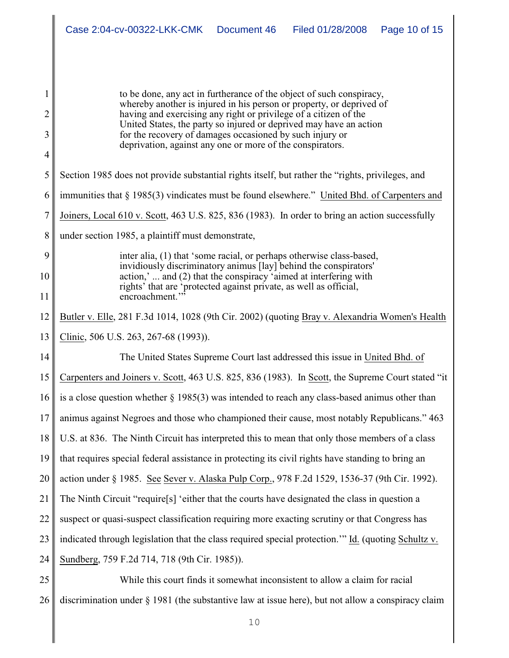|        | Case 2:04-cv-00322-LKK-CMK<br>Document 46<br>Filed 01/28/2008<br>Page 10 of 15                                                                                                                                                                                                                                                                     |  |  |  |  |
|--------|----------------------------------------------------------------------------------------------------------------------------------------------------------------------------------------------------------------------------------------------------------------------------------------------------------------------------------------------------|--|--|--|--|
|        |                                                                                                                                                                                                                                                                                                                                                    |  |  |  |  |
|        |                                                                                                                                                                                                                                                                                                                                                    |  |  |  |  |
| 1<br>2 | to be done, any act in furtherance of the object of such conspiracy,<br>whereby another is injured in his person or property, or deprived of<br>having and exercising any right or privilege of a citizen of the<br>United States, the party so injured or deprived may have an action<br>for the recovery of damages occasioned by such injury or |  |  |  |  |
| 3      |                                                                                                                                                                                                                                                                                                                                                    |  |  |  |  |
| 4      | deprivation, against any one or more of the conspirators.                                                                                                                                                                                                                                                                                          |  |  |  |  |
| 5      | Section 1985 does not provide substantial rights itself, but rather the "rights, privileges, and                                                                                                                                                                                                                                                   |  |  |  |  |
| 6      | immunities that $\S$ 1985(3) vindicates must be found elsewhere." United Bhd. of Carpenters and                                                                                                                                                                                                                                                    |  |  |  |  |
| 7      | Joiners, Local 610 v. Scott, 463 U.S. 825, 836 (1983). In order to bring an action successfully                                                                                                                                                                                                                                                    |  |  |  |  |
| 8      | under section 1985, a plaintiff must demonstrate,                                                                                                                                                                                                                                                                                                  |  |  |  |  |
| 9      | inter alia, (1) that 'some racial, or perhaps otherwise class-based,<br>invidiously discriminatory animus [lay] behind the conspirators'<br>action,'  and (2) that the conspiracy 'aimed at interfering with<br>rights' that are 'protected against private, as well as official,<br>encroachment.'                                                |  |  |  |  |
| 10     |                                                                                                                                                                                                                                                                                                                                                    |  |  |  |  |
| 11     |                                                                                                                                                                                                                                                                                                                                                    |  |  |  |  |
| 12     | Butler v. Elle, 281 F.3d 1014, 1028 (9th Cir. 2002) (quoting Bray v. Alexandria Women's Health                                                                                                                                                                                                                                                     |  |  |  |  |
| 13     | Clinic, 506 U.S. 263, 267-68 (1993)).                                                                                                                                                                                                                                                                                                              |  |  |  |  |
| 14     | The United States Supreme Court last addressed this issue in United Bhd. of                                                                                                                                                                                                                                                                        |  |  |  |  |
| 15     | Carpenters and Joiners v. Scott, 463 U.S. 825, 836 (1983). In Scott, the Supreme Court stated "it                                                                                                                                                                                                                                                  |  |  |  |  |
| 16     | is a close question whether $\S$ 1985(3) was intended to reach any class-based animus other than                                                                                                                                                                                                                                                   |  |  |  |  |
| 17     | animus against Negroes and those who championed their cause, most notably Republicans." 463                                                                                                                                                                                                                                                        |  |  |  |  |
| 18     | U.S. at 836. The Ninth Circuit has interpreted this to mean that only those members of a class                                                                                                                                                                                                                                                     |  |  |  |  |
| 19     | that requires special federal assistance in protecting its civil rights have standing to bring an                                                                                                                                                                                                                                                  |  |  |  |  |
| 20     | action under § 1985. See Sever v. Alaska Pulp Corp., 978 F.2d 1529, 1536-37 (9th Cir. 1992).                                                                                                                                                                                                                                                       |  |  |  |  |
| 21     | The Ninth Circuit "require[s] 'either that the courts have designated the class in question a                                                                                                                                                                                                                                                      |  |  |  |  |
| 22     | suspect or quasi-suspect classification requiring more exacting scrutiny or that Congress has                                                                                                                                                                                                                                                      |  |  |  |  |
| 23     | indicated through legislation that the class required special protection." Id. (quoting Schultz v.                                                                                                                                                                                                                                                 |  |  |  |  |
| 24     | Sundberg, 759 F.2d 714, 718 (9th Cir. 1985)).                                                                                                                                                                                                                                                                                                      |  |  |  |  |
| 25     | While this court finds it somewhat inconsistent to allow a claim for racial                                                                                                                                                                                                                                                                        |  |  |  |  |
| 26     | discrimination under $\S$ 1981 (the substantive law at issue here), but not allow a conspiracy claim                                                                                                                                                                                                                                               |  |  |  |  |
|        | 10                                                                                                                                                                                                                                                                                                                                                 |  |  |  |  |

 $\mathbf{\mathbf{\mathsf{u}}}$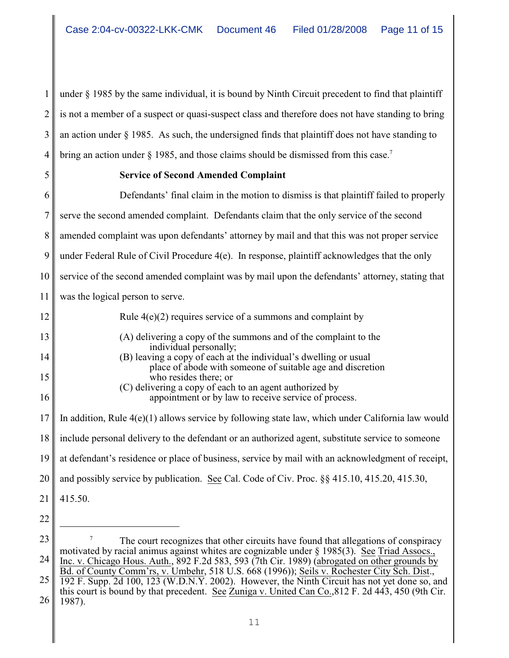1 2 3 4 under § 1985 by the same individual, it is bound by Ninth Circuit precedent to find that plaintiff is not a member of a suspect or quasi-suspect class and therefore does not have standing to bring an action under  $\S$  1985. As such, the undersigned finds that plaintiff does not have standing to bring an action under  $\S$  1985, and those claims should be dismissed from this case.<sup>7</sup>

5

# **Service of Second Amended Complaint**

6 7 8 9 10 11 12 13 14 15 16 17 18 19 20 21 22 Defendants' final claim in the motion to dismiss is that plaintiff failed to properly serve the second amended complaint. Defendants claim that the only service of the second amended complaint was upon defendants' attorney by mail and that this was not proper service under Federal Rule of Civil Procedure 4(e). In response, plaintiff acknowledges that the only service of the second amended complaint was by mail upon the defendants' attorney, stating that was the logical person to serve. Rule 4(e)(2) requires service of a summons and complaint by (A) delivering a copy of the summons and of the complaint to the individual personally; (B) leaving a copy of each at the individual's dwelling or usual place of abode with someone of suitable age and discretion who resides there; or (C) delivering a copy of each to an agent authorized by appointment or by law to receive service of process. In addition, Rule 4(e)(1) allows service by following state law, which under California law would include personal delivery to the defendant or an authorized agent, substitute service to someone at defendant's residence or place of business, service by mail with an acknowledgment of receipt, and possibly service by publication. See Cal. Code of Civ. Proc. §§ 415.10, 415.20, 415.30, 415.50.

<sup>23</sup> 24 25 26 The court recognizes that other circuits have found that allegations of conspiracy <sup>7</sup> motivated by racial animus against whites are cognizable under § 1985(3). See Triad Assocs., Inc. v. Chicago Hous. Auth., 892 F.2d 583, 593 (7th Cir. 1989) (abrogated on other grounds by Bd. of County Comm'rs, v. Umbehr, 518 U.S. 668 (1996)); Seils v. Rochester City Sch. Dist., 192 F. Supp. 2d 100, 123 (W.D.N.Y. 2002). However, the Ninth Circuit has not yet done so, and this court is bound by that precedent. See Zuniga v. United Can Co.,812 F. 2d 443, 450 (9th Cir. 1987).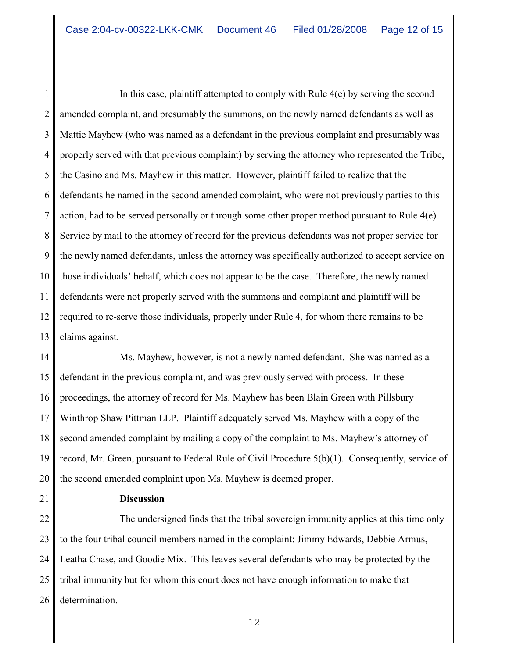1 2 3 4 5 6 7 8 9 10 11 12 13 In this case, plaintiff attempted to comply with Rule  $4(e)$  by serving the second amended complaint, and presumably the summons, on the newly named defendants as well as Mattie Mayhew (who was named as a defendant in the previous complaint and presumably was properly served with that previous complaint) by serving the attorney who represented the Tribe, the Casino and Ms. Mayhew in this matter. However, plaintiff failed to realize that the defendants he named in the second amended complaint, who were not previously parties to this action, had to be served personally or through some other proper method pursuant to Rule 4(e). Service by mail to the attorney of record for the previous defendants was not proper service for the newly named defendants, unless the attorney was specifically authorized to accept service on those individuals' behalf, which does not appear to be the case. Therefore, the newly named defendants were not properly served with the summons and complaint and plaintiff will be required to re-serve those individuals, properly under Rule 4, for whom there remains to be claims against.

14 15 16 17 Ms. Mayhew, however, is not a newly named defendant. She was named as a defendant in the previous complaint, and was previously served with process. In these proceedings, the attorney of record for Ms. Mayhew has been Blain Green with Pillsbury Winthrop Shaw Pittman LLP. Plaintiff adequately served Ms. Mayhew with a copy of the second amended complaint by mailing a copy of the complaint to Ms. Mayhew's attorney of record, Mr. Green, pursuant to Federal Rule of Civil Procedure 5(b)(1). Consequently, service of the second amended complaint upon Ms. Mayhew is deemed proper.

# **Discussion**

26 The undersigned finds that the tribal sovereign immunity applies at this time only to the four tribal council members named in the complaint: Jimmy Edwards, Debbie Armus, Leatha Chase, and Goodie Mix. This leaves several defendants who may be protected by the tribal immunity but for whom this court does not have enough information to make that determination.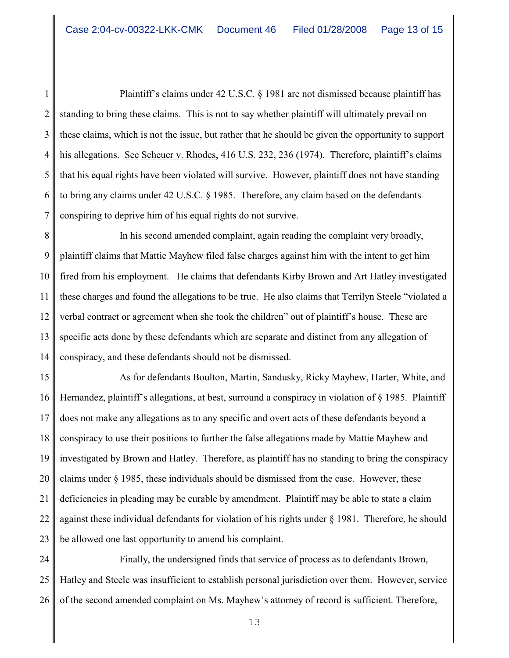1 2 3 4 5 6 7 Plaintiff's claims under 42 U.S.C. § 1981 are not dismissed because plaintiff has standing to bring these claims. This is not to say whether plaintiff will ultimately prevail on these claims, which is not the issue, but rather that he should be given the opportunity to support his allegations. See Scheuer v. Rhodes, 416 U.S. 232, 236 (1974). Therefore, plaintiff's claims that his equal rights have been violated will survive. However, plaintiff does not have standing to bring any claims under 42 U.S.C. § 1985. Therefore, any claim based on the defendants conspiring to deprive him of his equal rights do not survive.

8 9 10 11 12 13 14 In his second amended complaint, again reading the complaint very broadly, plaintiff claims that Mattie Mayhew filed false charges against him with the intent to get him fired from his employment. He claims that defendants Kirby Brown and Art Hatley investigated these charges and found the allegations to be true. He also claims that Terrilyn Steele "violated a verbal contract or agreement when she took the children" out of plaintiff's house. These are specific acts done by these defendants which are separate and distinct from any allegation of conspiracy, and these defendants should not be dismissed.

15 16 17 18 19 20 21 22 23 As for defendants Boulton, Martin, Sandusky, Ricky Mayhew, Harter, White, and Hernandez, plaintiff's allegations, at best, surround a conspiracy in violation of § 1985. Plaintiff does not make any allegations as to any specific and overt acts of these defendants beyond a conspiracy to use their positions to further the false allegations made by Mattie Mayhew and investigated by Brown and Hatley. Therefore, as plaintiff has no standing to bring the conspiracy claims under § 1985, these individuals should be dismissed from the case. However, these deficiencies in pleading may be curable by amendment. Plaintiff may be able to state a claim against these individual defendants for violation of his rights under § 1981. Therefore, he should be allowed one last opportunity to amend his complaint.

24 25 26 Finally, the undersigned finds that service of process as to defendants Brown, Hatley and Steele was insufficient to establish personal jurisdiction over them. However, service of the second amended complaint on Ms. Mayhew's attorney of record is sufficient. Therefore,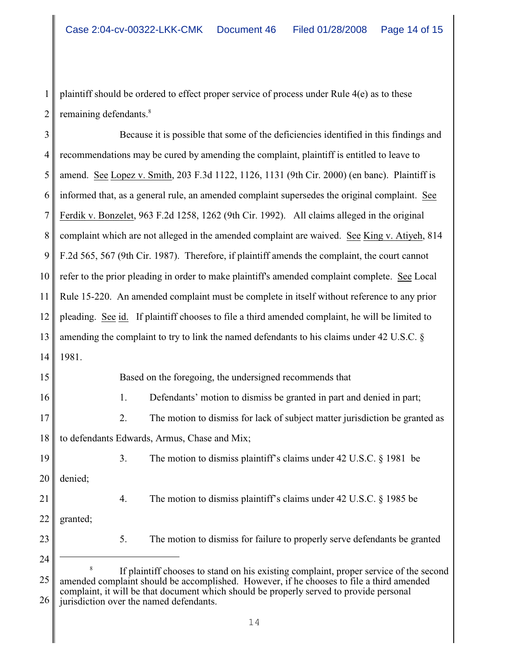1 2 plaintiff should be ordered to effect proper service of process under Rule 4(e) as to these remaining defendants. 8

3 4 5 6 7 8 9 10 11 12 13 14 15 16 17 18 19 20 21 22 23 24 Because it is possible that some of the deficiencies identified in this findings and recommendations may be cured by amending the complaint, plaintiff is entitled to leave to amend. See Lopez v. Smith, 203 F.3d 1122, 1126, 1131 (9th Cir. 2000) (en banc). Plaintiff is informed that, as a general rule, an amended complaint supersedes the original complaint. See Ferdik v. Bonzelet, 963 F.2d 1258, 1262 (9th Cir. 1992). All claims alleged in the original complaint which are not alleged in the amended complaint are waived. See King v. Atiyeh, 814 F.2d 565, 567 (9th Cir. 1987). Therefore, if plaintiff amends the complaint, the court cannot refer to the prior pleading in order to make plaintiff's amended complaint complete. See Local Rule 15-220. An amended complaint must be complete in itself without reference to any prior pleading. See id. If plaintiff chooses to file a third amended complaint, he will be limited to amending the complaint to try to link the named defendants to his claims under 42 U.S.C. § 1981. Based on the foregoing, the undersigned recommends that 1. Defendants' motion to dismiss be granted in part and denied in part; 2. The motion to dismiss for lack of subject matter jurisdiction be granted as to defendants Edwards, Armus, Chase and Mix; 3. The motion to dismiss plaintiff's claims under 42 U.S.C. § 1981 be denied; 4. The motion to dismiss plaintiff's claims under 42 U.S.C. § 1985 be granted; 5. The motion to dismiss for failure to properly serve defendants be granted

<sup>25</sup> 26 If plaintiff chooses to stand on his existing complaint, proper service of the second amended complaint should be accomplished. However, if he chooses to file a third amended complaint, it will be that document which should be properly served to provide personal jurisdiction over the named defendants.